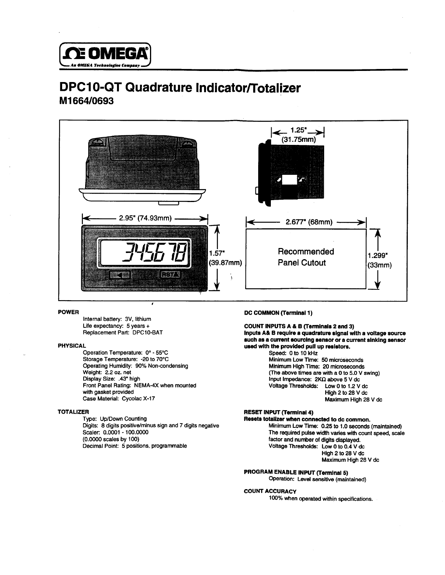

# **M1664/0693 DPC10-QT Quadrature Indicator/Totalizer**



Replacement Part: DPC10-BAT Internal battery: 3V. lithium

#### PHYSICAL

.43" high Display Size: Front Panel Rating: NEMA-4X when mounted with gasket provided Case Material: Cycolac X-17 Dperating Humidity: 90% Non-condensing Weight: 2.2 oz. net Operation Temperature: 0° - 55°C Storage Temperature: -20 to 70°C

#### TOTALIZER

Scaler: 0.0001 - 100.0000 (0.0000 scales by 100) Decimal Point: 5 positions, programmable Type: Up/Down Counting Digits: 8 digits positive/minus sign and 7 digits negative

# **POWER** DC COMMON (Terminal 1)

Speed: 0 to 10 kHz **B require a quadrature signal with a voltage source Inputs A&**  \_.\_ Replacement Part: **-** \_ \_\_-.\_ **& B ('Terminals 2 and 3) such as a current sourcing sensor or a current slnklng sensor uaed with the provided pull up resistors.** Life expectancy: 5 years + **COUNT INPUTS A & B (Terminals 2 and 3)** 

nput Impedance:  $2KΩ$  above 5 V dc Voltage Thresholds: Low 0 to 1.2 V dc High 2 to 28 V dc Maximum High 28 V dc Minimum High Time: 20 microseconds (The above times are with a 0 to 5.0 V swing) Minimum Low Time: 50 microseconds

# RESET INPUT (Terminal 4)

The required pulse width varies with count speed, scale factor and number of digits displayed. Voltage Thresholds: Low 0 to 0.4 V dc High 2 to 28 V dc Maximum High 28 V dc Minimum Low Time: 0.25 to 1.0 seconds (maintained) **totallzer when connected to dc common. Resets** 

#### **PROGRAM ENABLE INPUT (Terminal 5)**

**Operation: Level sensitive (maintained)** 

#### COUNT ACCURACY

100% when operated within specifications.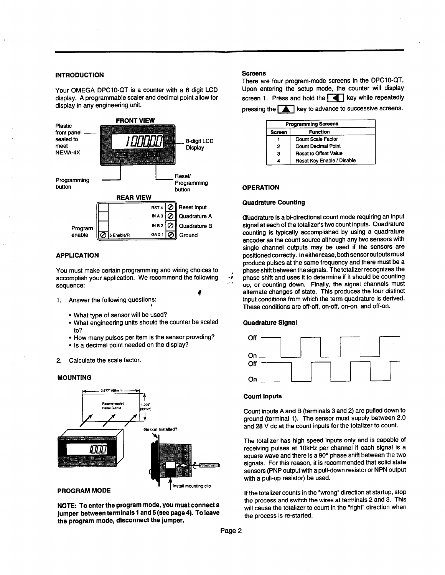Your OMEGA DPC10-QT is a counter with a 8 digit LCD display. A programmable scaler and decimal point allow for



# **APPLICATION**

I sequence: You must make certain programming and wiring choices to accomplish your application. We recommend the following

- I 1. Answer the following questions:
	- What type of sensor will be used?
	- to? • What engineering units should the counter be scaled
	- ?? How many pulses per item is the sensor providing?
	- Is a decimal point needed on the display?
- Calculate the scale factor.

#### **MOUNTING**



**NOTE: To enter the program mode, you must connect a jumper between terminals 1 and 5 (see page 4). To leave the program mode, disconnect the jumper.**

#### **Screens**

screen 1. Press and hold the  $\begin{array}{|c|c|c|}\n\hline\n\text{I} & \text{key} & \text{while } \text{repeatec} \\
\text{p} & \text{key} & \text{to advance to successive screen}\n\hline\n\end{array}$ Jpon entering the setup mode, the counter will display<br>screen 1. Press and hold the  $\blacksquare$  key while repeatedly There are four program-mode screens in the DPC10-QT, screen 1. Press and hold the **Next** key while repeatedly

| <b>Programming Screens</b> |                              |  |
|----------------------------|------------------------------|--|
| Screen                     | <b>Function</b>              |  |
|                            | <b>Count Scale Factor</b>    |  |
| 2                          | <b>Count Decimal Point</b>   |  |
| з                          | <b>Reset to Offset Value</b> |  |
|                            | Reset Key Enable / Disable   |  |

#### **OPERATION**

#### **Quadrature Counting**

phase shift between the signals. The totalizer recognizes the phase shift and uses it to determine if it should be counting up, or counting down. Finally, the signal channels must alternate changes of state. This produces the four distinct input conditions from which the term quadrature is derived. These conditions are off-off, on-off, on-on, and off-on. signal at each of the totalizer's two count inputs. Quadrature counting is typically accomplished by using a quadrature encoder as the count source although any two sensors with single channel outputs may be used if the sensors are positioned correctly. In either case, both sensor outputs must produce pulses at the same frequency and there must be a **Guadrature** is a bi-directional count mode requiring an input

# **Quadrature Signal**

I

-;



#### **Count Inputs**

and 28 V dc at the count inputs for the totalizer to coul **Count inputs A and B (terminals 3 and 2) are pulled down to ground (terminal 1). The** sensor must supply between 2.0

square wave and there is a 90° phase shift between the tw signals. For this reason, it is recommended that solid state sensors (PNP output with a pull-down resistor or NPN output with a pull-up resistor) be used. receiving pulses at 10kHz per channel if each signal is The totalizer has high speed inputs only and is capable of

If the totalizer counts in the "wrong" direction at startup, stop the process and switch the wires at terminals 2 and 3. This will cause the totalizer to count in the "right" direction when the process is re-started.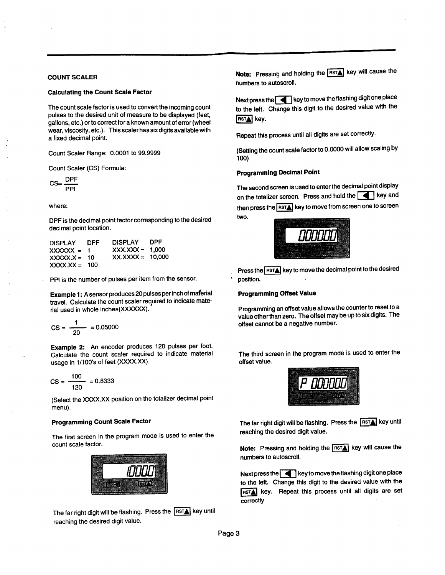## **COUNT SCALER**

#### **Calculating the Count Scale Factor**

 $T_{\rm eff}$  is used to community is used to convert the income income income income put of the desired unit of the displayed to be displayed (feet, feet, feet, feet, feet, feet, feet, feet, feet, pulses to the desired unit of measure to be displayed (feet, gallons, etc.) or to correct for a known amount of error (wheel  $w$ is, cic.) or io correction a milowiramount or enor (withsit <del>c</del>ar, viscosity, cic.*j.*<br>...

Count Scaler Range: 0.0001 to 99.9999

Count Scaler (CS) Formula:

$$
CS = \frac{DPF}{PPI}
$$

where:

DPF is the decimal point factor corresponding to the desired  $\mathsf{r}$  is the decimal point  $\mathsf{r}$ 

| <b>DISPLAY</b><br>$XXXXX = 1$<br>$XXXX.X = 10$ | <b>DPF</b> | <b>DISPLAY</b><br>$XXX.XXX = 1,000$<br>$XX.XXX = 10.000$ | <b>DPF</b> |
|------------------------------------------------|------------|----------------------------------------------------------|------------|
| $XXX.XX = 100$                                 |            |                                                          |            |

PPI is the number of pulses per item from the sensor.

 $\frac{1}{2}$ <br>
le 1: A sensor prod<br>
calculate the cour<br>
in whole inchese<br>  $\frac{1}{20}$  = 0.05000 **m&fal Example 1: Asensorproduces 20 pulses** per inch **of**   $\alpha$  all pre-secure  $\alpha$  and  $\alpha$  and  $\alpha$  and  $\alpha$  indicate materavel. Calculate the count scaler re

$$
CS = \frac{1}{20} = 0.05000
$$

**Example 2:** An encoder produces 120 pulses per foot<br>Calculate the count scaler required to indicate materia<br>Isage in 1/100's of feet (XXXX.XX).<br> $\text{ES} = \frac{100}{120} = 0.8333$ The Count State: require **EXAMPLE 2:** All choose produces required to indicate material <sub>valculate</sub>

$$
CS = \frac{100}{120} = 0.8333
$$

 $\epsilon$  (Select the XXXX position on the totalizer decimal point menu).

# **Programming Count Scale Factor**

 $T$  and first screen in the program mode is used to enter the problem is used to enter the set of  $\mathcal{L}$ count scale factor.



 $\overline{\phantom{a}}$  The far right digit will be flashing. Press the  $\overline{\phantom{a}}$  RsT $\overline{\phantom{a}}$  key unti reaching the desired digit value.

**ote:** Pressing and holding the **RSTA** key will cause the numbers to autoscroll.

the left. Change this digit to the desired value with the  $s\tau$ ext press the  $\lceil \blacktriangle \rceil$  key to move the flashing digit one place

**Repeat this process until all digits are set correctly.**

**tog) (Setting the count scale factor to 0.0000 will allow scaling by**

# **Programming Decimal Point**

**two.** the total serves the serves in the server of the move from screen one to screen he second screen is used to enter the decimal point display<br>n the totalizer screen. Press and hold the **Company of the state** on the totalizer screen. Press and hold the **T** key and



\ position.  $t$ ress the  $\overline{\text{first}}$  key to move the decimal point to the desired

#### **Programming Offset Value**

**Programming an offset value allows the counter to reset to a value other than zero.** The offset may be up to six digits. The offset cannot be a negative number.

The third screen in the program mode is used to enter the offset value.



The far right digit will be flashing. Press the  $\overline{\text{RST}_\blacktriangle}$  key until reaching the desired digit value.

eaching the deshed dight value.<br>Note: Pressing and holding the **[RSTA]** key will cause the numbers to autoscroll.

 $RST$  key. Repeat this process until all digits are set correctly. Next press the  $\Box$  key to move the flashing digit one place to the left. Change this digit to the desired value with the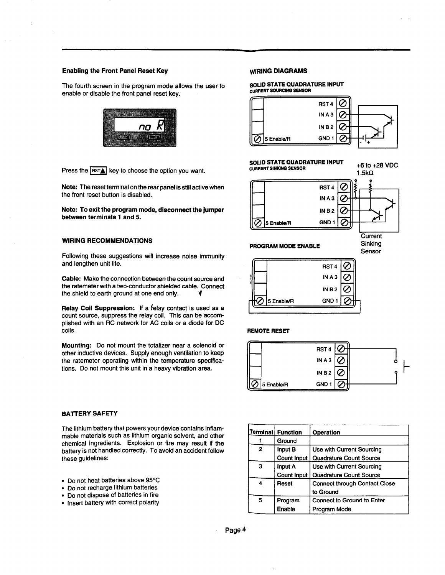### **Enabling the Front Panel Reset Key**

The fourth screen in the program mode allows the user to enable or disable the front panel reset key.



Press the  $\overline{\textsf{RST_A}}$  key to choose the option you wan

**Note:** The reset terminal on the rear panel is still active when the front reset button is disabled.

**Note: To exit the program mode, disconnect the jumper between terminals 1 and 5.**

## **WIRING RECOMMENDATIONS**

**Following these suggestions** will increase noise immunity and lengthen unit life.

4 **Cable: Make the connection** between the count source and the ratemeter with a two-conductor shielded cable. Connect the shield to earth ground at one end only.

**Relay Coil Suppression:** If a relay contact is used as a count source, suppress the relay coil. This can be accomplished with an RC network for AC coils or a diode for DC coils.

**Mounting: Do not mount the totalizer near a solenoid or other inductive devices. Supply enough ventilation to keep the ratemeter operating within the temperature specifications.** Do not mount this unit in a heavy vibration area.

#### **BATTERY SAFETY**

The lithium battery that powers your device contains inflammable materials such as lithium organic solvent, and other chemical ingredients. Explosion or fire may result if the battery is not handled correctly. To avoid an accident follow these guidelines:

- $\bullet\,$  Do not heat batteries above 95°C  $\,$
- . Do not recharge lithium batteries
- Do not **dispose** of batteries in fire .
- Insert battery with correct polarity

### **WIRING DIAGRAMS**

SO**LID STATE QUADRATURE INPUT**<br><sub>CURRENT</sub> SOURCING SENSOR **CURRENT SOURCING SENSOR** 



#### SOLID STATE QUADRATURE INPUT **CURRENT SINKING SENSOR**

+6 to +28 VDC



**Current** Sinking Sensor

b



**PROGRAM MODE ENABLE**



**REMOTE RESET**



|              | Terminal   Function | Operation                            |
|--------------|---------------------|--------------------------------------|
|              | Ground              |                                      |
| $\mathbf{2}$ | <b>Input B</b>      | Use with Current Sourcing            |
|              | Count Input         | <b>Quadrature Count Source</b>       |
| з            | Input A             | Use with Current Sourcing            |
|              | <b>Count Input</b>  | Quadrature Count Source              |
| 4            | Reset               | <b>Connect through Contact Close</b> |
|              |                     | to Ground                            |
| 5            | Program             | Connect to Ground to Enter           |
|              | Enable              | Program Mode                         |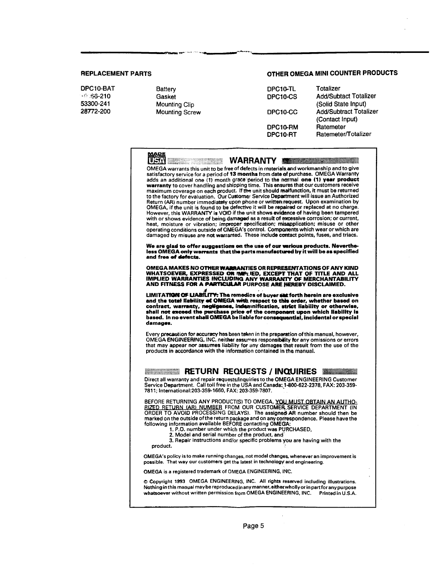under den en der anten der Antikel der Antikel der Antikel (1980) († 1921)<br>19. Juni – Jan der Antikel des Antikelsen († 1930)

28772-200 DPC10-BAT

53300-241 **Mounting Clip** Mounting Clip DPCl O-CS <sup>0</sup> Gasket . i-., ,+33\_21

# **REPLACEMENT PARTS OTHER OMEGA** MINI **COUNTER PRODUCTS**

| tterv        | DPC10-TL | Totalizer                     |
|--------------|----------|-------------------------------|
| isket        | DPC10-CS | <b>Add/Subtact Totalizer</b>  |
| unting Clip  |          | (Solid State Input)           |
| unting Screw | DPC10-CC | <b>Add/Subtract Totalizer</b> |
|              |          | (Contact Input)               |
|              | DPC10-RM | Ratemeter                     |
|              | DPC10-RT | Ratemeter/Totalizer           |
|              |          |                               |

| <u>MAPE</u><br>WARRANTY<br>OMEGA warrants this unit to be free of defects in materials and workmanship and to give<br>satisfactory service for a period of 13 months from date of purchase. OMEGA Warranty<br>adds an additional one (1) month grace period to the normal one (1) year product<br>warranty to cover handling and shipping time. This ensures that our customers receive<br>maximum coverage on each product. If the unit should malfunction, it must be returned<br>to the factory for evaluation. Our Customer Service Department will issue an Authorized<br>Return (AR) number immediately upon phone or written request. Upon examination by<br>OMEGA, if the unit is found to be defective it will be repaired or replaced at no charge.<br>However, this WARRANTY is VOID if the unit shows evidence of having been tampered<br>with or shows evidence of being damaged as a result of excessive corrosion; or current,<br>heat, moisture or vibration; improper specification; misapplication; misuse or other<br>operating conditions outside of OMEGA's control. Components which wear or which are<br>damaged by misuse are not warramed. These include contact points, fuses, and triacs.<br>We are glad to offer suggestions on the use of our various products. Neverthe-<br>less OMEGA only warrants that the parts manufactured by it will be as specified<br>and free of defects. |  |
|-------------------------------------------------------------------------------------------------------------------------------------------------------------------------------------------------------------------------------------------------------------------------------------------------------------------------------------------------------------------------------------------------------------------------------------------------------------------------------------------------------------------------------------------------------------------------------------------------------------------------------------------------------------------------------------------------------------------------------------------------------------------------------------------------------------------------------------------------------------------------------------------------------------------------------------------------------------------------------------------------------------------------------------------------------------------------------------------------------------------------------------------------------------------------------------------------------------------------------------------------------------------------------------------------------------------------------------------------------------------------------------------------------------------|--|
| OMEGA MAKES NO OTHER WARRANTIES OR REPRESENTATIONS OF ANY KIND<br>WHATSOEVER, EXPRESSED OR IMPLIED, EXCEPT THAT OF TITLE AND ALL<br><b>IMPLIED WARRANTIES INCLUDING ANY WARRANTY OF MERCHANTABILITY</b><br>AND FITNESS FOR A PARTICULAR PURPOSE ARE HEREBY DISCLAIMED.                                                                                                                                                                                                                                                                                                                                                                                                                                                                                                                                                                                                                                                                                                                                                                                                                                                                                                                                                                                                                                                                                                                                            |  |
| LIMITATION OF LIABILITY: The remedies of buyer set forth herein are exclusive<br>and the total liability of OMEGA with respect to this order, whether based on<br>contract, warranty, negligence, indemnification, strict liability or otherwise,<br>shall not exceed the purchase price of the component upon which liability is<br>based. In no event shall QMEGA be liable for consequential, incidental or special<br>damages.                                                                                                                                                                                                                                                                                                                                                                                                                                                                                                                                                                                                                                                                                                                                                                                                                                                                                                                                                                                |  |
| Every precaution for accuracy has been taken in the preparation of this manual, however,<br>OMEGA ENGINEERING, INC. neither assumes responsibility for any omissions or errors<br>that may appear nor assumes liability for any damages that result from the use of the<br>products in accordance with the information contained in the manual.                                                                                                                                                                                                                                                                                                                                                                                                                                                                                                                                                                                                                                                                                                                                                                                                                                                                                                                                                                                                                                                                   |  |
| <b>RETURN REQUESTS / INQUIRIES WILLIAMS</b>                                                                                                                                                                                                                                                                                                                                                                                                                                                                                                                                                                                                                                                                                                                                                                                                                                                                                                                                                                                                                                                                                                                                                                                                                                                                                                                                                                       |  |
| Direct all warranty and repair requests/inquiries to the OMEGA ENGINEERING Customer<br>Service Department. Call toll free in the USA and Canada: 1-800-622-2378, FAX: 203-359-<br>7811; International:203-359-1660, FAX: 203-359-7807.                                                                                                                                                                                                                                                                                                                                                                                                                                                                                                                                                                                                                                                                                                                                                                                                                                                                                                                                                                                                                                                                                                                                                                            |  |
| BEFORE RETURNING ANY PRODUCT(S) TO OMEGA, YOU MUST OBTAIN AN AUTHO-<br>RIZED RETURN (AR) NUMBER FROM OUR CUSTOMER SERVICE DEPARTMENT (IN<br>ORDER TO AVOID PROCESSING DELAYS). The assigned AR number should then be<br>marked on the outside of the return package and on any correspondence. Please have the<br>following information available BEFORE contacting OMEGA:<br>1. P.O. number under which the product was PURCHASED,<br>2. Model and serial number of the product, and<br>3. Repair instructions and/or specific problems you are having with the<br>product.                                                                                                                                                                                                                                                                                                                                                                                                                                                                                                                                                                                                                                                                                                                                                                                                                                      |  |
| OMEGA's policy is to make running changes, not model changes, whenever an improvement is<br>possible. That way our customers get the latest in technology and engineering.                                                                                                                                                                                                                                                                                                                                                                                                                                                                                                                                                                                                                                                                                                                                                                                                                                                                                                                                                                                                                                                                                                                                                                                                                                        |  |
| OMEGA is a registered trademark of OMEGA ENGINEERING, INC.                                                                                                                                                                                                                                                                                                                                                                                                                                                                                                                                                                                                                                                                                                                                                                                                                                                                                                                                                                                                                                                                                                                                                                                                                                                                                                                                                        |  |
| © Copyright 1993 OMEGA ENGINEERING, INC. All rights reserved including illustrations.<br>Nothing in this manual may be reproduced in any manner, either wholly or in part for any purpose<br>whatsoever without written permission from OMEGA ENGINEERING, INC.<br>Printed in U.S.A.                                                                                                                                                                                                                                                                                                                                                                                                                                                                                                                                                                                                                                                                                                                                                                                                                                                                                                                                                                                                                                                                                                                              |  |
| Page 5                                                                                                                                                                                                                                                                                                                                                                                                                                                                                                                                                                                                                                                                                                                                                                                                                                                                                                                                                                                                                                                                                                                                                                                                                                                                                                                                                                                                            |  |